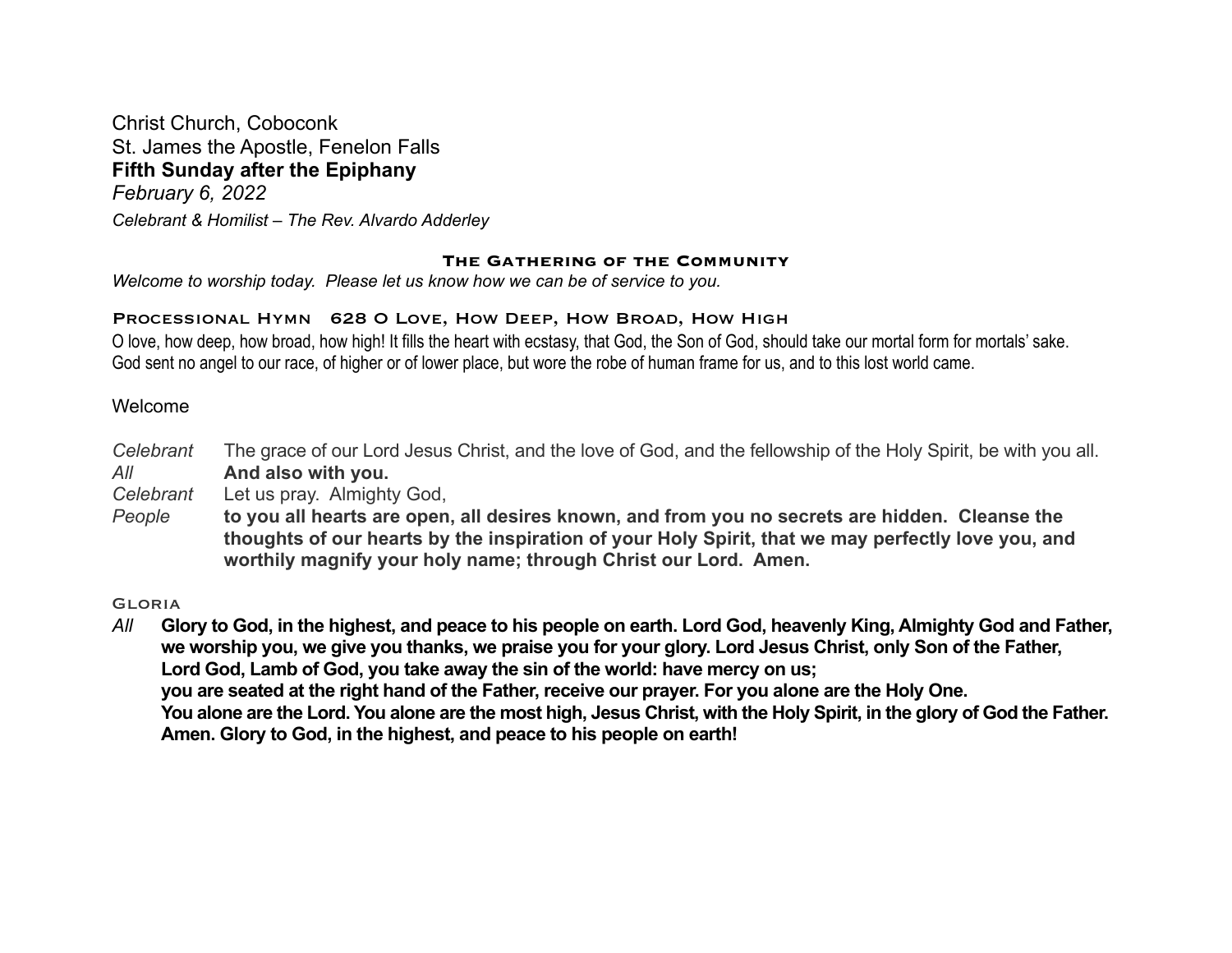Christ Church, Coboconk St. James the Apostle, Fenelon Falls **Fifth Sunday after the Epiphany** *February 6, 2022 Celebrant & Homilist – The Rev. Alvardo Adderley* 

## **The Gathering of the Community**

*Welcome to worship today. Please let us know how we can be of service to you.* 

## Processional Hymn 628 O Love, How Deep, How Broad, How High

O love, how deep, how broad, how high! It fills the heart with ecstasy, that God, the Son of God, should take our mortal form for mortals' sake. God sent no angel to our race, of higher or of lower place, but wore the robe of human frame for us, and to this lost world came.

## Welcome

*Celebrant* The grace of our Lord Jesus Christ, and the love of God, and the fellowship of the Holy Spirit, be with you all. *All* **And also with you.** 

*Celebrant* Let us pray. Almighty God,

*People* **to you all hearts are open, all desires known, and from you no secrets are hidden. Cleanse the thoughts of our hearts by the inspiration of your Holy Spirit, that we may perfectly love you, and worthily magnify your holy name; through Christ our Lord. Amen.**

### Gloria

*All* **Glory to God, in the highest, and peace to his people on earth. Lord God, heavenly King, Almighty God and Father, we worship you, we give you thanks, we praise you for your glory. Lord Jesus Christ, only Son of the Father, Lord God, Lamb of God, you take away the sin of the world: have mercy on us; you are seated at the right hand of the Father, receive our prayer. For you alone are the Holy One. You alone are the Lord. You alone are the most high, Jesus Christ, with the Holy Spirit, in the glory of God the Father. Amen. Glory to God, in the highest, and peace to his people on earth!**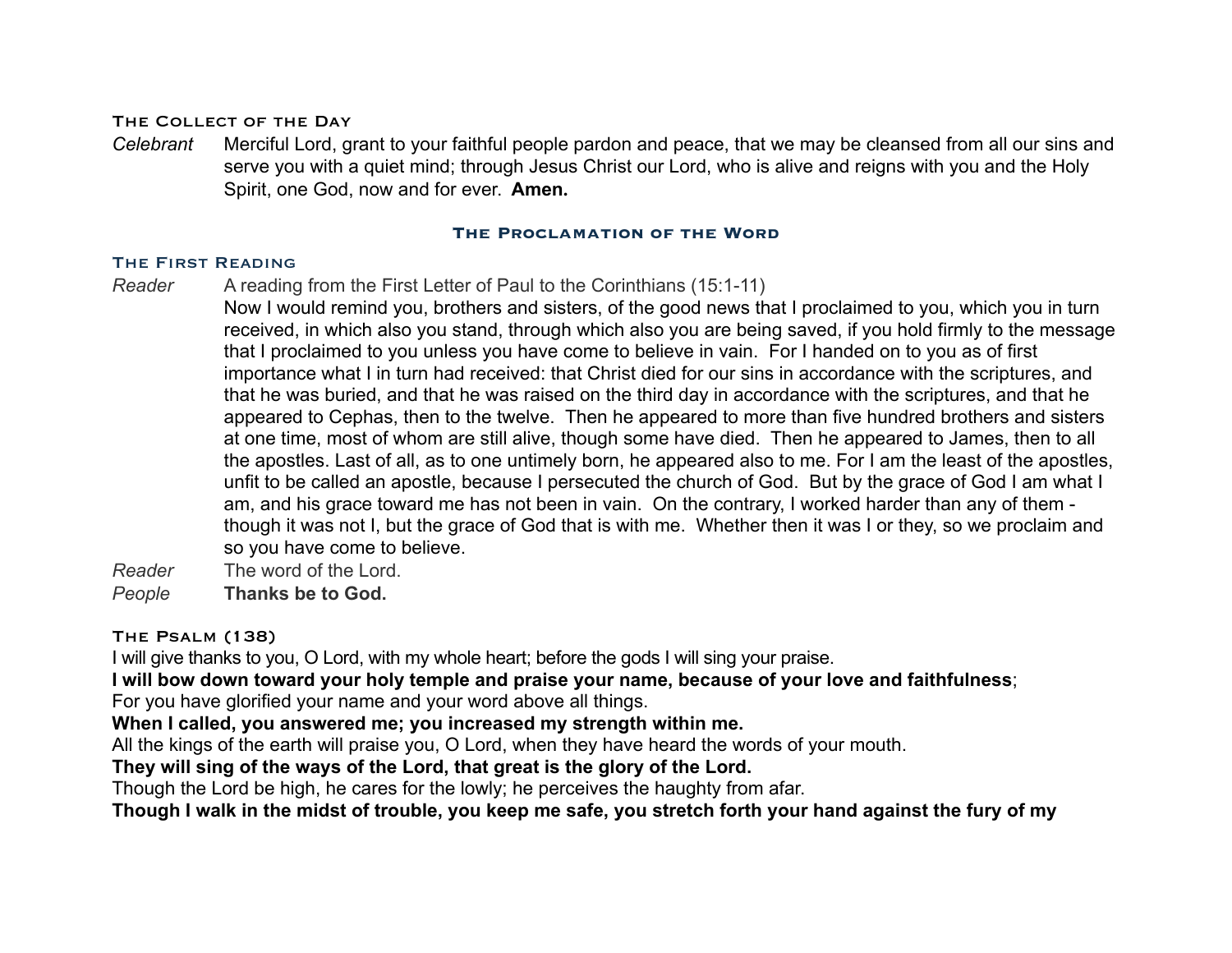## The Collect of the Day

*Celebrant* Merciful Lord, grant to your faithful people pardon and peace, that we may be cleansed from all our sins and serve you with a quiet mind; through Jesus Christ our Lord, who is alive and reigns with you and the Holy Spirit, one God, now and for ever. **Amen.**

#### **The Proclamation of the Word**

### The First Reading

*Reader* A reading from the First Letter of Paul to the Corinthians (15:1-11)

Now I would remind you, brothers and sisters, of the good news that I proclaimed to you, which you in turn received, in which also you stand, through which also you are being saved, if you hold firmly to the message that I proclaimed to you unless you have come to believe in vain. For I handed on to you as of first importance what I in turn had received: that Christ died for our sins in accordance with the scriptures, and that he was buried, and that he was raised on the third day in accordance with the scriptures, and that he appeared to Cephas, then to the twelve. Then he appeared to more than five hundred brothers and sisters at one time, most of whom are still alive, though some have died. Then he appeared to James, then to all the apostles. Last of all, as to one untimely born, he appeared also to me. For I am the least of the apostles, unfit to be called an apostle, because I persecuted the church of God. But by the grace of God I am what I am, and his grace toward me has not been in vain. On the contrary, I worked harder than any of them though it was not I, but the grace of God that is with me. Whether then it was I or they, so we proclaim and so you have come to believe.

*Reader* The word of the Lord. *People* **Thanks be to God.**

# The Psalm (138)

I will give thanks to you, O Lord, with my whole heart; before the gods I will sing your praise.

**I will bow down toward your holy temple and praise your name, because of your love and faithfulness**; For you have glorified your name and your word above all things.

**When I called, you answered me; you increased my strength within me.**

All the kings of the earth will praise you, O Lord, when they have heard the words of your mouth.

**They will sing of the ways of the Lord, that great is the glory of the Lord.**

Though the Lord be high, he cares for the lowly; he perceives the haughty from afar.

**Though I walk in the midst of trouble, you keep me safe, you stretch forth your hand against the fury of my**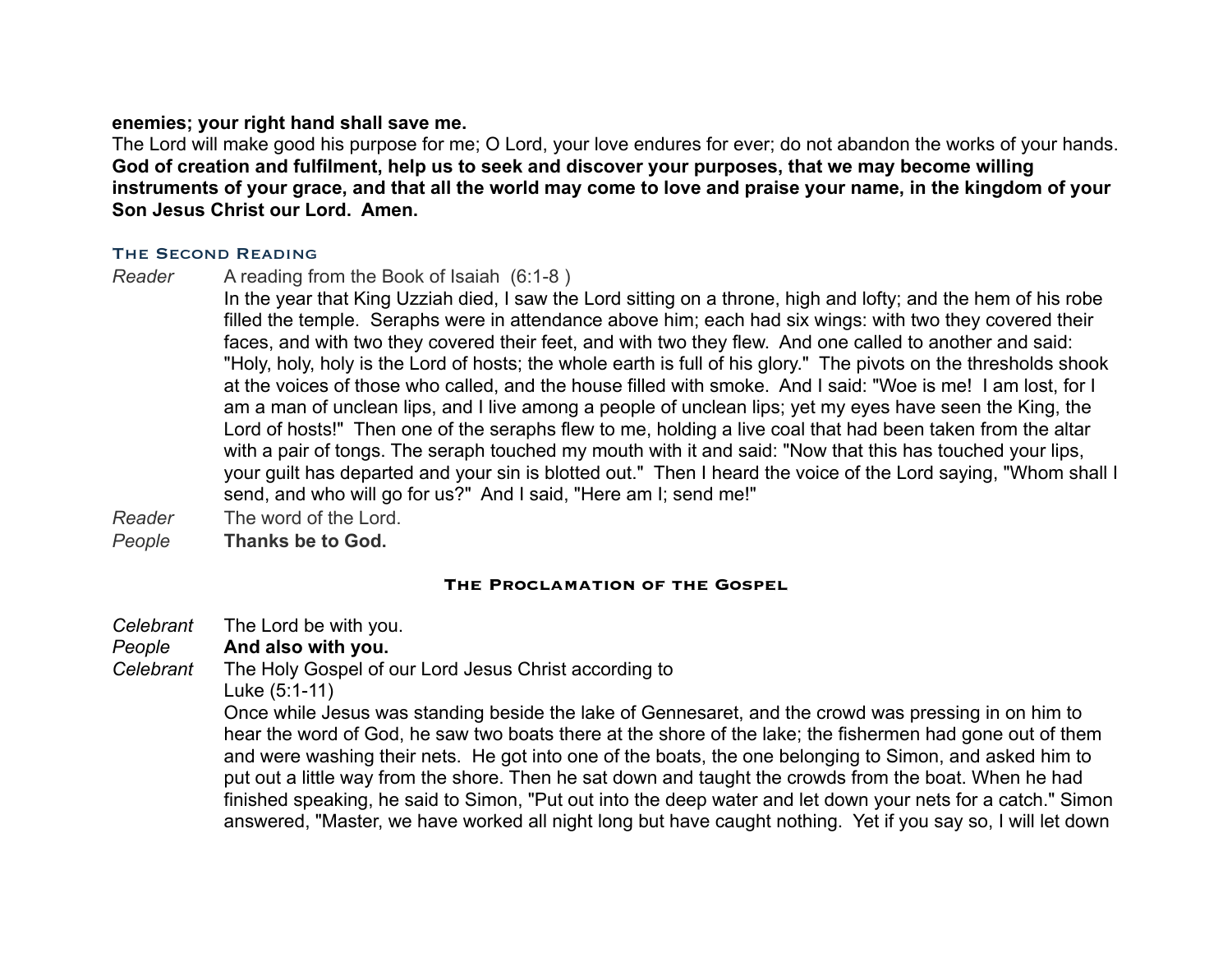# **enemies; your right hand shall save me.**

The Lord will make good his purpose for me; O Lord, your love endures for ever; do not abandon the works of your hands. **God of creation and fulfilment, help us to seek and discover your purposes, that we may become willing instruments of your grace, and that all the world may come to love and praise your name, in the kingdom of your Son Jesus Christ our Lord. Amen.** 

## The Second Reading

*Reader* A reading from the Book of Isaiah (6:1-8 )

In the year that King Uzziah died, I saw the Lord sitting on a throne, high and lofty; and the hem of his robe filled the temple. Seraphs were in attendance above him; each had six wings: with two they covered their faces, and with two they covered their feet, and with two they flew. And one called to another and said: "Holy, holy, holy is the Lord of hosts; the whole earth is full of his glory." The pivots on the thresholds shook at the voices of those who called, and the house filled with smoke. And I said: "Woe is me! I am lost, for I am a man of unclean lips, and I live among a people of unclean lips; yet my eyes have seen the King, the Lord of hosts!" Then one of the seraphs flew to me, holding a live coal that had been taken from the altar with a pair of tongs. The seraph touched my mouth with it and said: "Now that this has touched your lips, your guilt has departed and your sin is blotted out." Then I heard the voice of the Lord saying, "Whom shall I send, and who will go for us?" And I said, "Here am I; send me!"

*Reader* The word of the Lord.

*People* **Thanks be to God.**

## **The Proclamation of the Gospel**

- *Celebrant* The Lord be with you.
- *People* **And also with you.**
- *Celebrant* The Holy Gospel of our Lord Jesus Christ according to

Luke (5:1-11)

Once while Jesus was standing beside the lake of Gennesaret, and the crowd was pressing in on him to hear the word of God, he saw two boats there at the shore of the lake; the fishermen had gone out of them and were washing their nets. He got into one of the boats, the one belonging to Simon, and asked him to put out a little way from the shore. Then he sat down and taught the crowds from the boat. When he had finished speaking, he said to Simon, "Put out into the deep water and let down your nets for a catch." Simon answered, "Master, we have worked all night long but have caught nothing. Yet if you say so, I will let down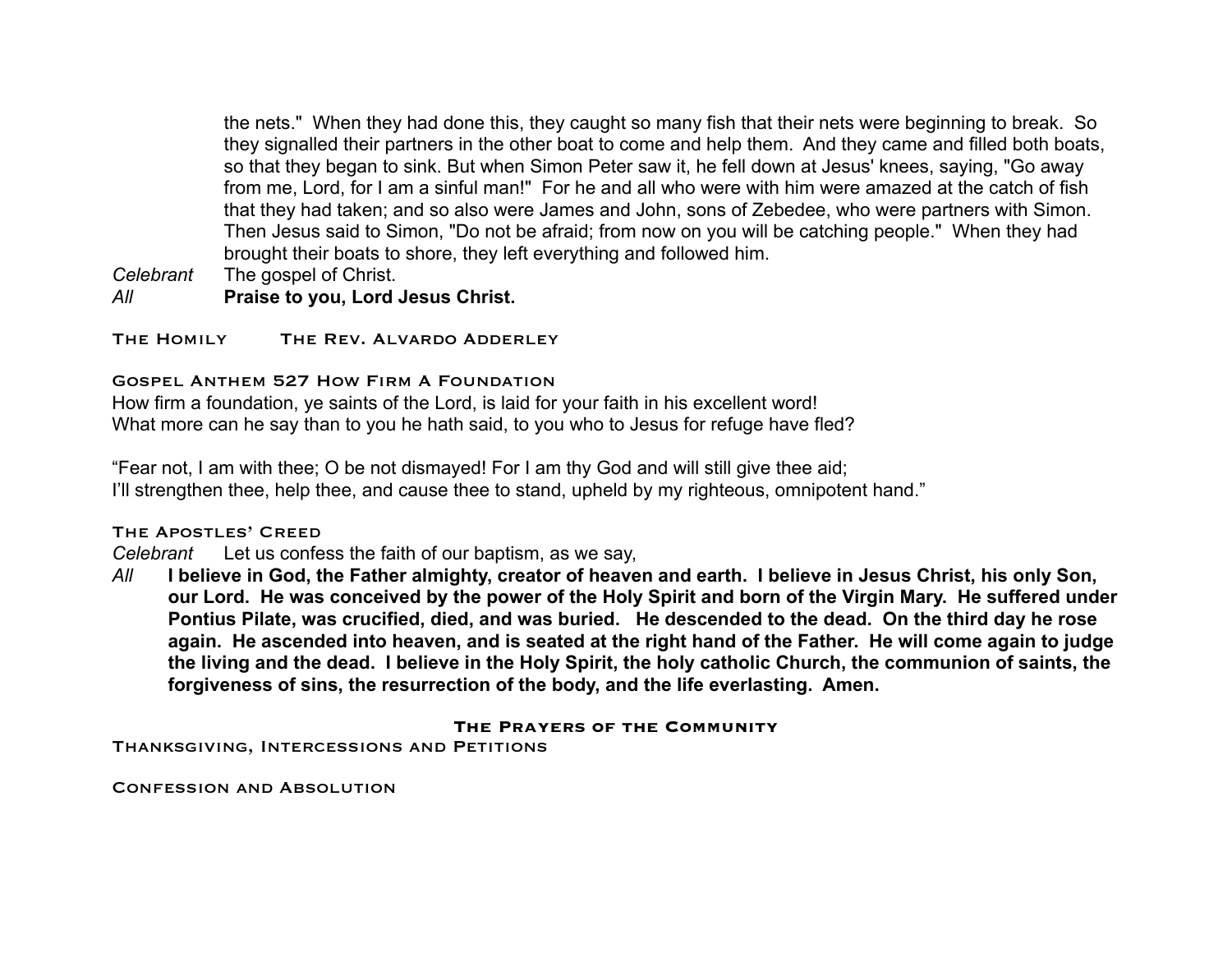the nets." When they had done this, they caught so many fish that their nets were beginning to break. So they signalled their partners in the other boat to come and help them. And they came and filled both boats, so that they began to sink. But when Simon Peter saw it, he fell down at Jesus' knees, saying, "Go away from me, Lord, for I am a sinful man!" For he and all who were with him were amazed at the catch of fish that they had taken; and so also were James and John, sons of Zebedee, who were partners with Simon. Then Jesus said to Simon, "Do not be afraid; from now on you will be catching people." When they had brought their boats to shore, they left everything and followed him.

- *Celebrant* The gospel of Christ.
- *All* **Praise to you, Lord Jesus Christ.**

THE HOMILY THE REV. ALVARDO ADDERLEY

## Gospel Anthem 527 How Firm A Foundation

How firm a foundation, ye saints of the Lord, is laid for your faith in his excellent word! What more can he say than to you he hath said, to you who to Jesus for refuge have fled?

"Fear not, I am with thee; O be not dismayed! For I am thy God and will still give thee aid; I'll strengthen thee, help thee, and cause thee to stand, upheld by my righteous, omnipotent hand."

### The Apostles' Creed

*Celebrant* Let us confess the faith of our baptism, as we say,

*All* **I believe in God, the Father almighty, creator of heaven and earth. I believe in Jesus Christ, his only Son, our Lord. He was conceived by the power of the Holy Spirit and born of the Virgin Mary. He suffered under Pontius Pilate, was crucified, died, and was buried. He descended to the dead. On the third day he rose again. He ascended into heaven, and is seated at the right hand of the Father. He will come again to judge the living and the dead. I believe in the Holy Spirit, the holy catholic Church, the communion of saints, the forgiveness of sins, the resurrection of the body, and the life everlasting. Amen.** 

### **The Prayers of the Community**

Thanksgiving, Intercessions and Petitions

CONFESSION AND ABSOLUTION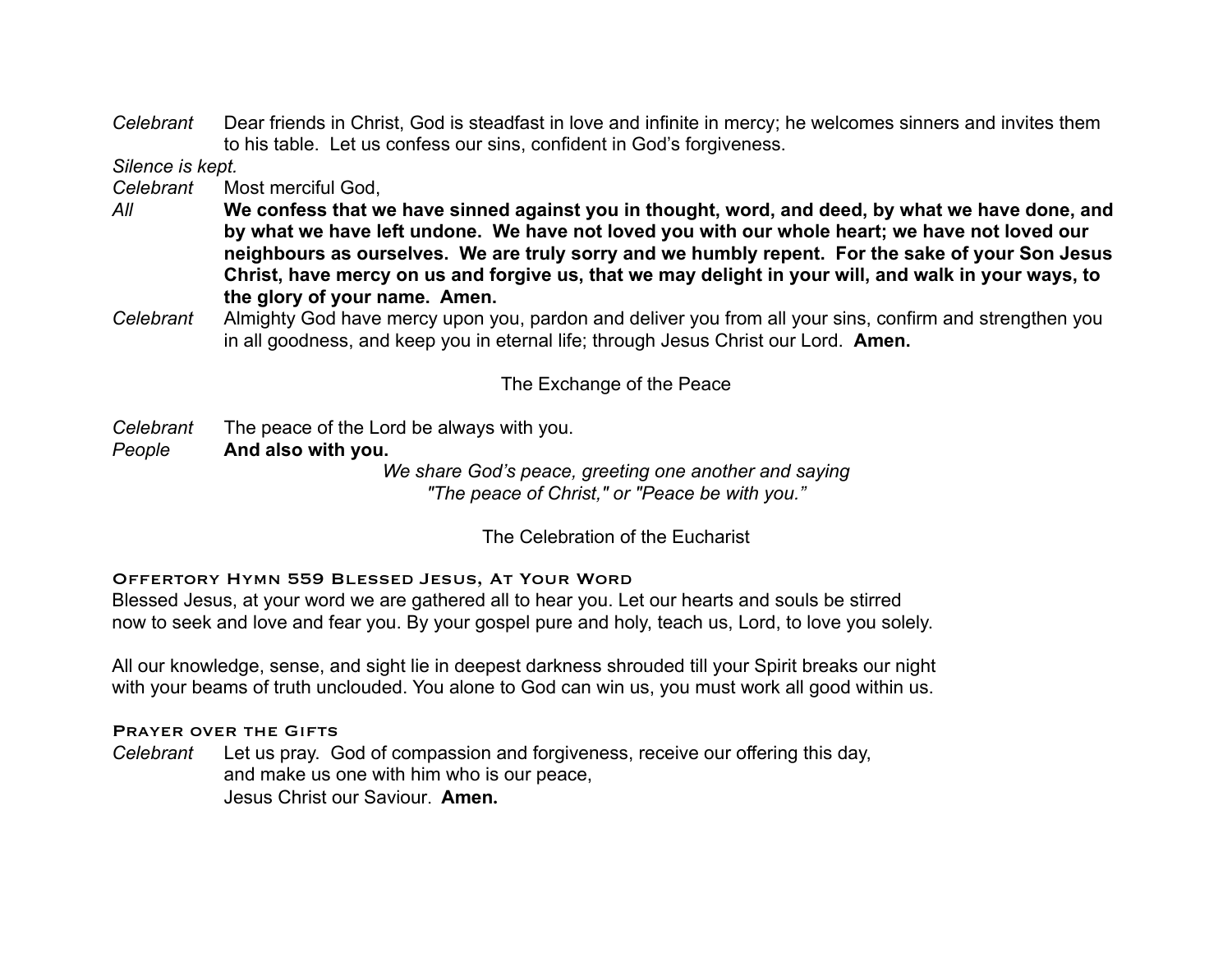*Celebrant* Dear friends in Christ, God is steadfast in love and infinite in mercy; he welcomes sinners and invites them to his table. Let us confess our sins, confident in God's forgiveness.

*Silence is kept.* 

*Celebrant* Most merciful God,

- *All* **We confess that we have sinned against you in thought, word, and deed, by what we have done, and by what we have left undone. We have not loved you with our whole heart; we have not loved our neighbours as ourselves. We are truly sorry and we humbly repent. For the sake of your Son Jesus Christ, have mercy on us and forgive us, that we may delight in your will, and walk in your ways, to the glory of your name. Amen.**
- *Celebrant* Almighty God have mercy upon you, pardon and deliver you from all your sins, confirm and strengthen you in all goodness, and keep you in eternal life; through Jesus Christ our Lord. **Amen.**

# The Exchange of the Peace

*Celebrant* The peace of the Lord be always with you.

## *People* **And also with you.**

*We share God's peace, greeting one another and saying "The peace of Christ," or "Peace be with you."* 

The Celebration of the Eucharist

## Offertory Hymn 559 Blessed Jesus, At Your Word

Blessed Jesus, at your word we are gathered all to hear you. Let our hearts and souls be stirred now to seek and love and fear you. By your gospel pure and holy, teach us, Lord, to love you solely.

All our knowledge, sense, and sight lie in deepest darkness shrouded till your Spirit breaks our night with your beams of truth unclouded. You alone to God can win us, you must work all good within us.

## Prayer over the Gifts

*Celebrant* Let us pray. God of compassion and forgiveness, receive our offering this day, and make us one with him who is our peace, Jesus Christ our Saviour. **Amen.**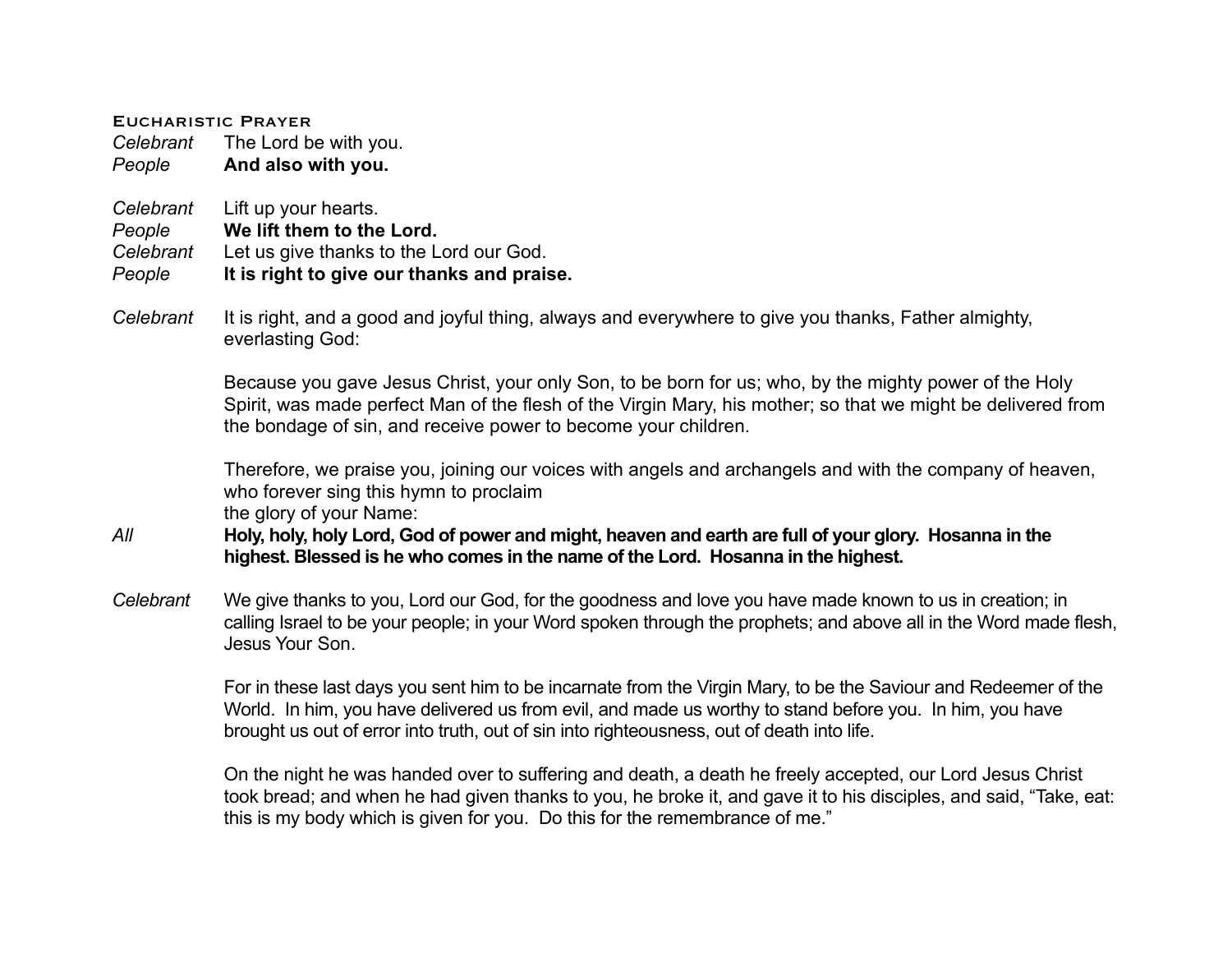Eucharistic Prayer *Celebrant* The Lord be with you. *People* **And also with you.**  *Celebrant* Lift up your hearts. *People* **We lift them to the Lord.**  *Celebrant* Let us give thanks to the Lord our God. *People* **It is right to give our thanks and praise.**  *Celebrant* It is right, and a good and joyful thing, always and everywhere to give you thanks, Father almighty, everlasting God: Because you gave Jesus Christ, your only Son, to be born for us; who, by the mighty power of the Holy Spirit, was made perfect Man of the flesh of the Virgin Mary, his mother; so that we might be delivered from the bondage of sin, and receive power to become your children. Therefore, we praise you, joining our voices with angels and archangels and with the company of heaven, who forever sing this hymn to proclaim the glory of your Name: *All* **Holy, holy, holy Lord, God of power and might, heaven and earth are full of your glory. Hosanna in the highest. Blessed is he who comes in the name of the Lord. Hosanna in the highest.**  *Celebrant* We give thanks to you, Lord our God, for the goodness and love you have made known to us in creation; in calling Israel to be your people; in your Word spoken through the prophets; and above all in the Word made flesh, Jesus Your Son.

> For in these last days you sent him to be incarnate from the Virgin Mary, to be the Saviour and Redeemer of the World. In him, you have delivered us from evil, and made us worthy to stand before you. In him, you have brought us out of error into truth, out of sin into righteousness, out of death into life.

On the night he was handed over to suffering and death, a death he freely accepted, our Lord Jesus Christ took bread; and when he had given thanks to you, he broke it, and gave it to his disciples, and said, "Take, eat: this is my body which is given for you. Do this for the remembrance of me."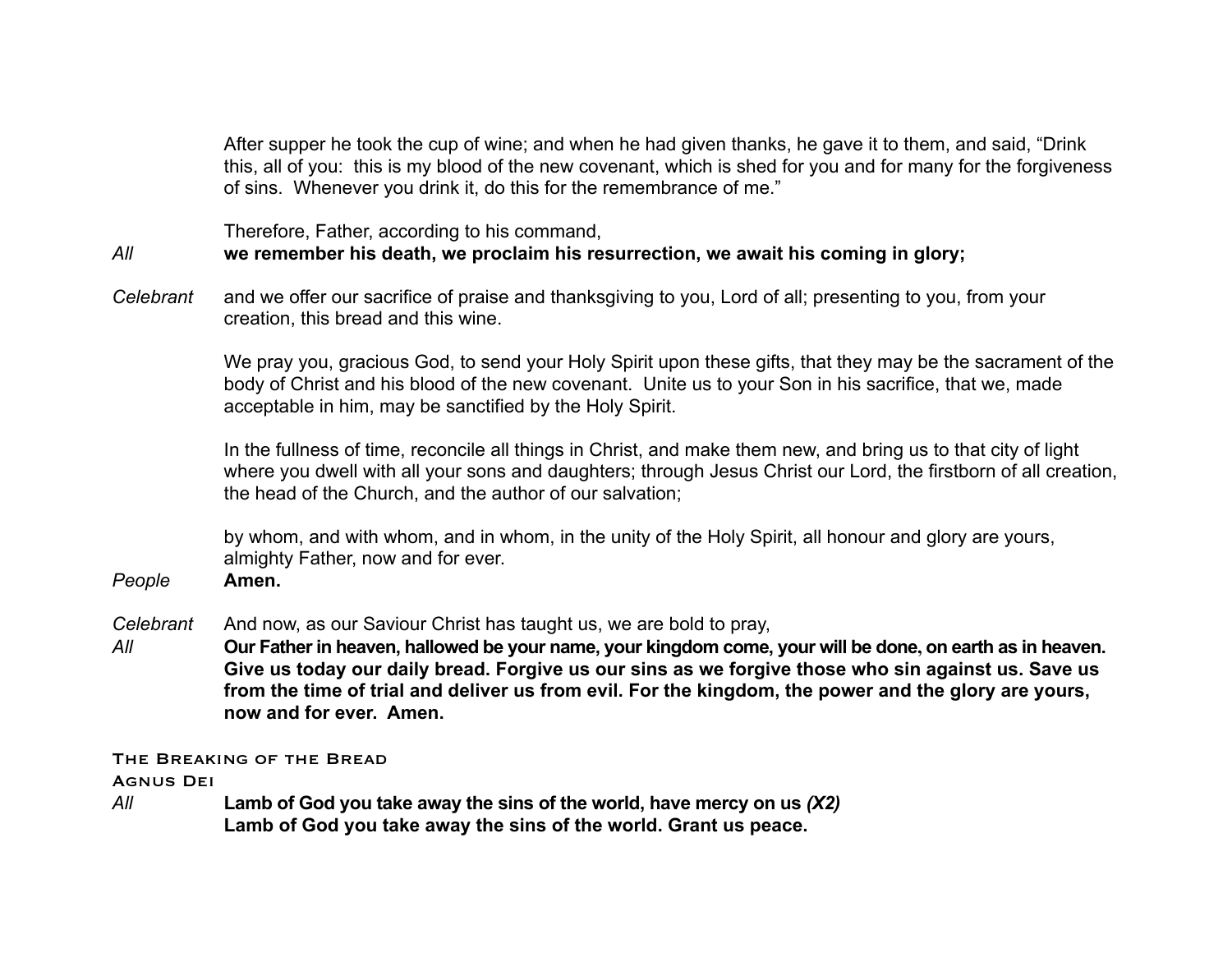After supper he took the cup of wine; and when he had given thanks, he gave it to them, and said, "Drink this, all of you: this is my blood of the new covenant, which is shed for you and for many for the forgiveness of sins. Whenever you drink it, do this for the remembrance of me."

Therefore, Father, according to his command,

*All* **we remember his death, we proclaim his resurrection, we await his coming in glory;** 

*Celebrant* and we offer our sacrifice of praise and thanksgiving to you, Lord of all; presenting to you, from your creation, this bread and this wine.

> We pray you, gracious God, to send your Holy Spirit upon these gifts, that they may be the sacrament of the body of Christ and his blood of the new covenant. Unite us to your Son in his sacrifice, that we, made acceptable in him, may be sanctified by the Holy Spirit.

> In the fullness of time, reconcile all things in Christ, and make them new, and bring us to that city of light where you dwell with all your sons and daughters; through Jesus Christ our Lord, the firstborn of all creation, the head of the Church, and the author of our salvation;

by whom, and with whom, and in whom, in the unity of the Holy Spirit, all honour and glory are yours, almighty Father, now and for ever.

*People* **Amen.**

- *Celebrant* And now, as our Saviour Christ has taught us, we are bold to pray,
- *All* **Our Father in heaven, hallowed be your name, your kingdom come, your will be done, on earth as in heaven. Give us today our daily bread. Forgive us our sins as we forgive those who sin against us. Save us from the time of trial and deliver us from evil. For the kingdom, the power and the glory are yours, now and for ever. Amen.**

The Breaking of the Bread

Agnus Dei

*All* **Lamb of God you take away the sins of the world, have mercy on us** *(X2)* **Lamb of God you take away the sins of the world. Grant us peace.**